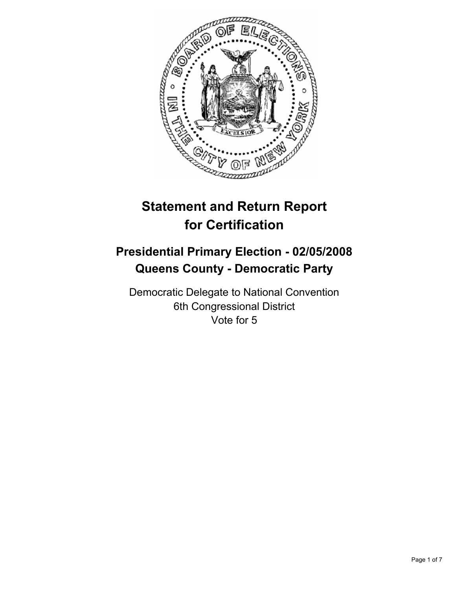

# **Statement and Return Report for Certification**

# **Presidential Primary Election - 02/05/2008 Queens County - Democratic Party**

Democratic Delegate to National Convention 6th Congressional District Vote for 5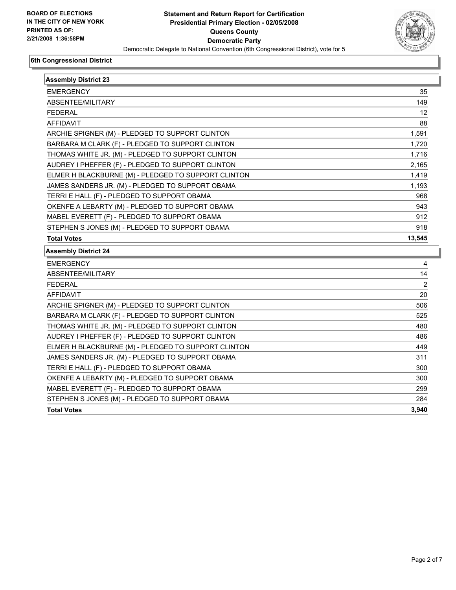

| <b>Assembly District 23</b>                         |                |
|-----------------------------------------------------|----------------|
| <b>EMERGENCY</b>                                    | 35             |
| ABSENTEE/MILITARY                                   | 149            |
| <b>FEDERAL</b>                                      | 12             |
| AFFIDAVIT                                           | 88             |
| ARCHIE SPIGNER (M) - PLEDGED TO SUPPORT CLINTON     | 1,591          |
| BARBARA M CLARK (F) - PLEDGED TO SUPPORT CLINTON    | 1,720          |
| THOMAS WHITE JR. (M) - PLEDGED TO SUPPORT CLINTON   | 1,716          |
| AUDREY I PHEFFER (F) - PLEDGED TO SUPPORT CLINTON   | 2,165          |
| ELMER H BLACKBURNE (M) - PLEDGED TO SUPPORT CLINTON | 1,419          |
| JAMES SANDERS JR. (M) - PLEDGED TO SUPPORT OBAMA    | 1,193          |
| TERRI E HALL (F) - PLEDGED TO SUPPORT OBAMA         | 968            |
| OKENFE A LEBARTY (M) - PLEDGED TO SUPPORT OBAMA     | 943            |
| MABEL EVERETT (F) - PLEDGED TO SUPPORT OBAMA        | 912            |
| STEPHEN S JONES (M) - PLEDGED TO SUPPORT OBAMA      | 918            |
| <b>Total Votes</b>                                  | 13,545         |
| <b>Assembly District 24</b>                         |                |
| <b>EMERGENCY</b>                                    | 4              |
| ABSENTEE/MILITARY                                   | 14             |
| <b>FEDERAL</b>                                      | $\overline{2}$ |
| <b>AFFIDAVIT</b>                                    | 20             |
| ARCHIE SPIGNER (M) - PLEDGED TO SUPPORT CLINTON     | 506            |
| BARBARA M CLARK (F) - PLEDGED TO SUPPORT CLINTON    | 525            |
| THOMAS WHITE JR. (M) - PLEDGED TO SUPPORT CLINTON   | 480            |
| AUDREY I PHEFFER (F) - PLEDGED TO SUPPORT CLINTON   | 486            |
| ELMER H BLACKBURNE (M) - PLEDGED TO SUPPORT CLINTON | 449            |
| JAMES SANDERS JR. (M) - PLEDGED TO SUPPORT OBAMA    | 311            |
| TERRI E HALL (F) - PLEDGED TO SUPPORT OBAMA         | 300            |
| OKENFE A LEBARTY (M) - PLEDGED TO SUPPORT OBAMA     | 300            |
| MABEL EVERETT (F) - PLEDGED TO SUPPORT OBAMA        | 299            |
| STEPHEN S JONES (M) - PLEDGED TO SUPPORT OBAMA      | 284            |
| <b>Total Votes</b>                                  | 3,940          |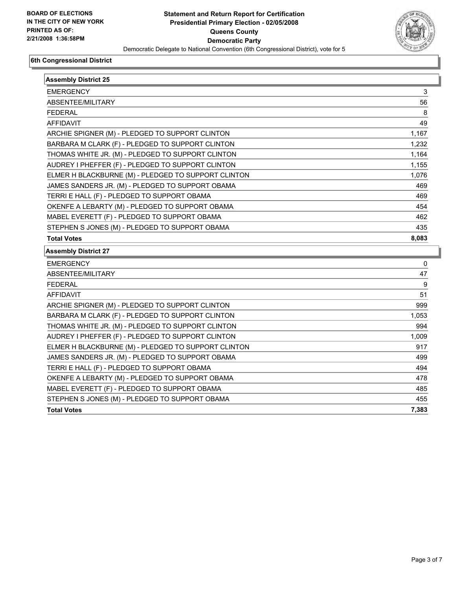

| <b>Assembly District 25</b>                         |       |
|-----------------------------------------------------|-------|
| <b>EMERGENCY</b>                                    | 3     |
| ABSENTEE/MILITARY                                   | 56    |
| <b>FEDERAL</b>                                      | 8     |
| <b>AFFIDAVIT</b>                                    | 49    |
| ARCHIE SPIGNER (M) - PLEDGED TO SUPPORT CLINTON     | 1,167 |
| BARBARA M CLARK (F) - PLEDGED TO SUPPORT CLINTON    | 1,232 |
| THOMAS WHITE JR. (M) - PLEDGED TO SUPPORT CLINTON   | 1,164 |
| AUDREY I PHEFFER (F) - PLEDGED TO SUPPORT CLINTON   | 1,155 |
| ELMER H BLACKBURNE (M) - PLEDGED TO SUPPORT CLINTON | 1,076 |
| JAMES SANDERS JR. (M) - PLEDGED TO SUPPORT OBAMA    | 469   |
| TERRI E HALL (F) - PLEDGED TO SUPPORT OBAMA         | 469   |
| OKENFE A LEBARTY (M) - PLEDGED TO SUPPORT OBAMA     | 454   |
| MABEL EVERETT (F) - PLEDGED TO SUPPORT OBAMA        | 462   |
| STEPHEN S JONES (M) - PLEDGED TO SUPPORT OBAMA      | 435   |
| <b>Total Votes</b>                                  | 8,083 |
| <b>Assembly District 27</b>                         |       |
| <b>EMERGENCY</b>                                    | 0     |
| ABSENTEE/MILITARY                                   | 47    |
| <b>FEDERAL</b>                                      | 9     |
| <b>AFFIDAVIT</b>                                    | 51    |
| ARCHIE SPIGNER (M) - PLEDGED TO SUPPORT CLINTON     | 999   |
| BARBARA M CLARK (F) - PLEDGED TO SUPPORT CLINTON    | 1,053 |
| THOMAS WHITE JR. (M) - PLEDGED TO SUPPORT CLINTON   | 994   |
| AUDREY I PHEFFER (F) - PLEDGED TO SUPPORT CLINTON   | 1,009 |
| ELMER H BLACKBURNE (M) - PLEDGED TO SUPPORT CLINTON | 917   |
| JAMES SANDERS JR. (M) - PLEDGED TO SUPPORT OBAMA    | 499   |
| TERRI E HALL (F) - PLEDGED TO SUPPORT OBAMA         | 494   |
| OKENFE A LEBARTY (M) - PLEDGED TO SUPPORT OBAMA     | 478   |
| MABEL EVERETT (F) - PLEDGED TO SUPPORT OBAMA        | 485   |
| STEPHEN S JONES (M) - PLEDGED TO SUPPORT OBAMA      | 455   |
| <b>Total Votes</b>                                  | 7,383 |
|                                                     |       |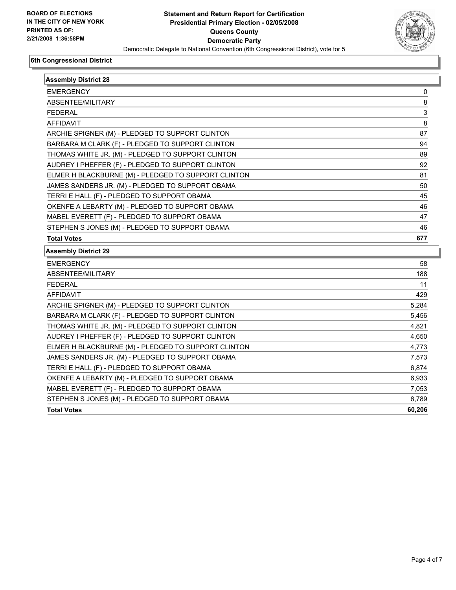

| <b>Assembly District 28</b>                         |        |
|-----------------------------------------------------|--------|
| <b>EMERGENCY</b>                                    | 0      |
| ABSENTEE/MILITARY                                   | 8      |
| <b>FEDERAL</b>                                      | 3      |
| AFFIDAVIT                                           | 8      |
| ARCHIE SPIGNER (M) - PLEDGED TO SUPPORT CLINTON     | 87     |
| BARBARA M CLARK (F) - PLEDGED TO SUPPORT CLINTON    | 94     |
| THOMAS WHITE JR. (M) - PLEDGED TO SUPPORT CLINTON   | 89     |
| AUDREY I PHEFFER (F) - PLEDGED TO SUPPORT CLINTON   | 92     |
| ELMER H BLACKBURNE (M) - PLEDGED TO SUPPORT CLINTON | 81     |
| JAMES SANDERS JR. (M) - PLEDGED TO SUPPORT OBAMA    | 50     |
| TERRI E HALL (F) - PLEDGED TO SUPPORT OBAMA         | 45     |
| OKENFE A LEBARTY (M) - PLEDGED TO SUPPORT OBAMA     | 46     |
| MABEL EVERETT (F) - PLEDGED TO SUPPORT OBAMA        | 47     |
| STEPHEN S JONES (M) - PLEDGED TO SUPPORT OBAMA      | 46     |
| <b>Total Votes</b>                                  | 677    |
| <b>Assembly District 29</b>                         |        |
| <b>EMERGENCY</b>                                    | 58     |
| ABSENTEE/MILITARY                                   | 188    |
| <b>FEDERAL</b>                                      | 11     |
| <b>AFFIDAVIT</b>                                    | 429    |
| ARCHIE SPIGNER (M) - PLEDGED TO SUPPORT CLINTON     | 5,284  |
| BARBARA M CLARK (F) - PLEDGED TO SUPPORT CLINTON    | 5,456  |
| THOMAS WHITE JR. (M) - PLEDGED TO SUPPORT CLINTON   | 4,821  |
| AUDREY I PHEFFER (F) - PLEDGED TO SUPPORT CLINTON   | 4,650  |
| ELMER H BLACKBURNE (M) - PLEDGED TO SUPPORT CLINTON | 4,773  |
| JAMES SANDERS JR. (M) - PLEDGED TO SUPPORT OBAMA    | 7,573  |
| TERRI E HALL (F) - PLEDGED TO SUPPORT OBAMA         | 6,874  |
| OKENFE A LEBARTY (M) - PLEDGED TO SUPPORT OBAMA     | 6,933  |
| MABEL EVERETT (F) - PLEDGED TO SUPPORT OBAMA        | 7,053  |
| STEPHEN S JONES (M) - PLEDGED TO SUPPORT OBAMA      | 6,789  |
| <b>Total Votes</b>                                  | 60,206 |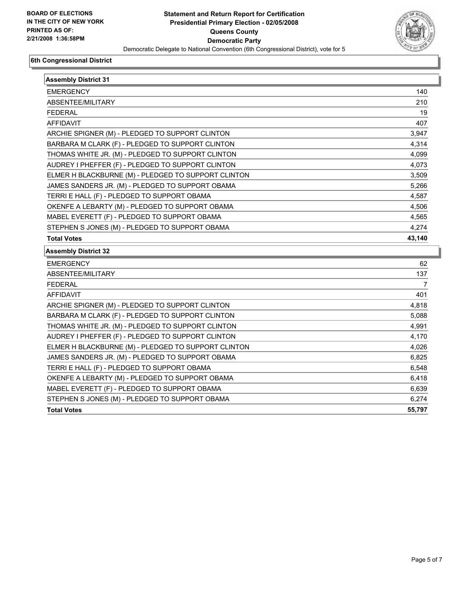

| <b>EMERGENCY</b>                                    | 140                                                                                                             |
|-----------------------------------------------------|-----------------------------------------------------------------------------------------------------------------|
| ABSENTEE/MILITARY                                   | 210                                                                                                             |
| <b>FEDERAL</b>                                      | 19                                                                                                              |
| <b>AFFIDAVIT</b>                                    | 407                                                                                                             |
| ARCHIE SPIGNER (M) - PLEDGED TO SUPPORT CLINTON     | 3,947                                                                                                           |
| BARBARA M CLARK (F) - PLEDGED TO SUPPORT CLINTON    | 4,314                                                                                                           |
| THOMAS WHITE JR. (M) - PLEDGED TO SUPPORT CLINTON   | 4,099                                                                                                           |
| AUDREY I PHEFFER (F) - PLEDGED TO SUPPORT CLINTON   | 4,073                                                                                                           |
| ELMER H BLACKBURNE (M) - PLEDGED TO SUPPORT CLINTON | 3,509                                                                                                           |
| JAMES SANDERS JR. (M) - PLEDGED TO SUPPORT OBAMA    | 5,266                                                                                                           |
| TERRI E HALL (F) - PLEDGED TO SUPPORT OBAMA         | 4,587                                                                                                           |
| OKENFE A LEBARTY (M) - PLEDGED TO SUPPORT OBAMA     | 4,506                                                                                                           |
| MABEL EVERETT (F) - PLEDGED TO SUPPORT OBAMA        | 4,565                                                                                                           |
| STEPHEN S JONES (M) - PLEDGED TO SUPPORT OBAMA      | 4,274                                                                                                           |
| <b>Total Votes</b>                                  | 43,140                                                                                                          |
|                                                     |                                                                                                                 |
| <b>Assembly District 32</b>                         |                                                                                                                 |
| <b>EMERGENCY</b>                                    |                                                                                                                 |
| ABSENTEE/MILITARY                                   |                                                                                                                 |
| <b>FEDERAL</b>                                      |                                                                                                                 |
| <b>AFFIDAVIT</b>                                    |                                                                                                                 |
| ARCHIE SPIGNER (M) - PLEDGED TO SUPPORT CLINTON     |                                                                                                                 |
| BARBARA M CLARK (F) - PLEDGED TO SUPPORT CLINTON    |                                                                                                                 |
| THOMAS WHITE JR. (M) - PLEDGED TO SUPPORT CLINTON   |                                                                                                                 |
| AUDREY I PHEFFER (F) - PLEDGED TO SUPPORT CLINTON   |                                                                                                                 |
| ELMER H BLACKBURNE (M) - PLEDGED TO SUPPORT CLINTON |                                                                                                                 |
| JAMES SANDERS JR. (M) - PLEDGED TO SUPPORT OBAMA    |                                                                                                                 |
| TERRI E HALL (F) - PLEDGED TO SUPPORT OBAMA         |                                                                                                                 |
| OKENFE A LEBARTY (M) - PLEDGED TO SUPPORT OBAMA     |                                                                                                                 |
| MABEL EVERETT (F) - PLEDGED TO SUPPORT OBAMA        |                                                                                                                 |
| STEPHEN S JONES (M) - PLEDGED TO SUPPORT OBAMA      | 62<br>137<br>7<br>401<br>4,818<br>5,088<br>4,991<br>4,170<br>4,026<br>6,825<br>6,548<br>6,418<br>6,639<br>6,274 |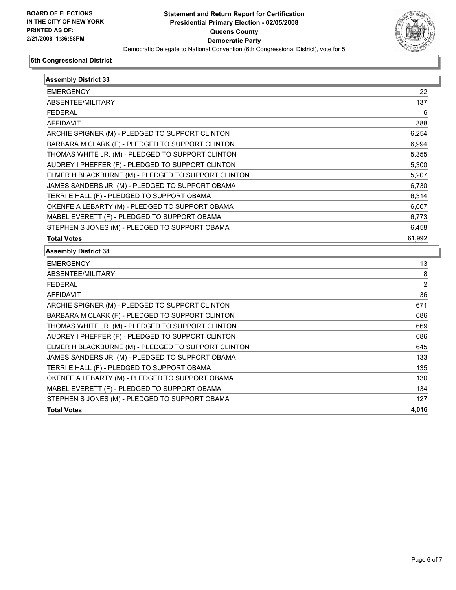

| <b>Assembly District 33</b>                         |                |
|-----------------------------------------------------|----------------|
| <b>EMERGENCY</b>                                    | 22             |
| ABSENTEE/MILITARY                                   | 137            |
| <b>FEDERAL</b>                                      | 6              |
| AFFIDAVIT                                           | 388            |
| ARCHIE SPIGNER (M) - PLEDGED TO SUPPORT CLINTON     | 6,254          |
| BARBARA M CLARK (F) - PLEDGED TO SUPPORT CLINTON    | 6,994          |
| THOMAS WHITE JR. (M) - PLEDGED TO SUPPORT CLINTON   | 5,355          |
| AUDREY I PHEFFER (F) - PLEDGED TO SUPPORT CLINTON   | 5,300          |
| ELMER H BLACKBURNE (M) - PLEDGED TO SUPPORT CLINTON | 5,207          |
| JAMES SANDERS JR. (M) - PLEDGED TO SUPPORT OBAMA    | 6,730          |
| TERRI E HALL (F) - PLEDGED TO SUPPORT OBAMA         | 6,314          |
| OKENFE A LEBARTY (M) - PLEDGED TO SUPPORT OBAMA     | 6,607          |
| MABEL EVERETT (F) - PLEDGED TO SUPPORT OBAMA        | 6,773          |
| STEPHEN S JONES (M) - PLEDGED TO SUPPORT OBAMA      | 6,458          |
| <b>Total Votes</b>                                  | 61,992         |
| <b>Assembly District 38</b>                         |                |
| <b>EMERGENCY</b>                                    | 13             |
| ABSENTEE/MILITARY                                   | 8              |
| <b>FEDERAL</b>                                      | $\overline{2}$ |
| <b>AFFIDAVIT</b>                                    | 36             |
| ARCHIE SPIGNER (M) - PLEDGED TO SUPPORT CLINTON     | 671            |
| BARBARA M CLARK (F) - PLEDGED TO SUPPORT CLINTON    | 686            |
| THOMAS WHITE JR. (M) - PLEDGED TO SUPPORT CLINTON   | 669            |
| AUDREY I PHEFFER (F) - PLEDGED TO SUPPORT CLINTON   | 686            |
| ELMER H BLACKBURNE (M) - PLEDGED TO SUPPORT CLINTON | 645            |
| JAMES SANDERS JR. (M) - PLEDGED TO SUPPORT OBAMA    | 133            |
| TERRI E HALL (F) - PLEDGED TO SUPPORT OBAMA         | 135            |
| OKENFE A LEBARTY (M) - PLEDGED TO SUPPORT OBAMA     | 130            |
| MABEL EVERETT (F) - PLEDGED TO SUPPORT OBAMA        | 134            |
| STEPHEN S JONES (M) - PLEDGED TO SUPPORT OBAMA      | 127            |
| <b>Total Votes</b>                                  | 4,016          |
|                                                     |                |